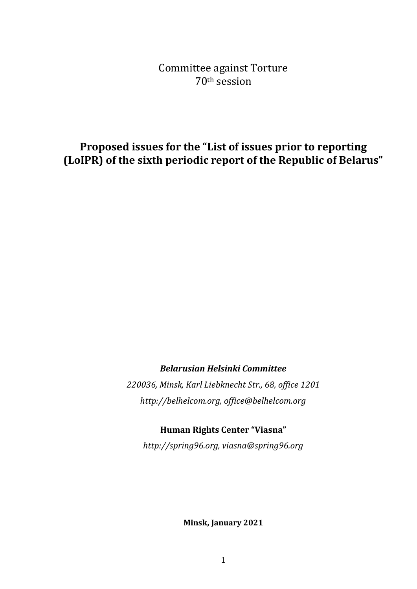Committee against Torture 70th session

**Proposed issues for the "List of issues prior to reporting (LoIPR) of the sixth periodic report of the Republic of Belarus"** 

*Belarusian Helsinki Committee*

*220036, Minsk, Karl Liebknecht Str., 68, office 1201 http://belhelcom.org, office@belhelcom.org*

**Human Rights Center "Viasna"**

*http://spring96.org, viasna@spring96.org*

**Minsk, January 2021**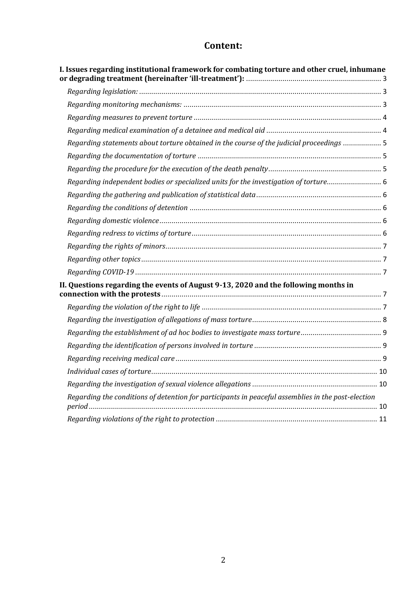# **Content:**

<span id="page-1-0"></span>

| I. Issues regarding institutional framework for combating torture and other cruel, inhumane        |  |
|----------------------------------------------------------------------------------------------------|--|
|                                                                                                    |  |
|                                                                                                    |  |
|                                                                                                    |  |
|                                                                                                    |  |
| Regarding statements about torture obtained in the course of the judicial proceedings  5           |  |
|                                                                                                    |  |
|                                                                                                    |  |
| Regarding independent bodies or specialized units for the investigation of torture                 |  |
|                                                                                                    |  |
|                                                                                                    |  |
|                                                                                                    |  |
|                                                                                                    |  |
|                                                                                                    |  |
|                                                                                                    |  |
|                                                                                                    |  |
| II. Questions regarding the events of August 9-13, 2020 and the following months in                |  |
|                                                                                                    |  |
|                                                                                                    |  |
|                                                                                                    |  |
|                                                                                                    |  |
|                                                                                                    |  |
|                                                                                                    |  |
|                                                                                                    |  |
| Regarding the conditions of detention for participants in peaceful assemblies in the post-election |  |
|                                                                                                    |  |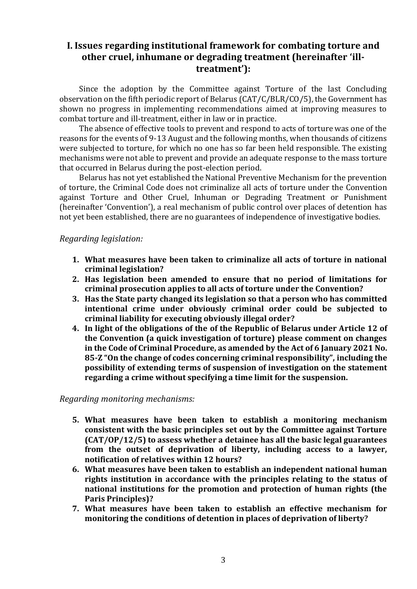# **I. Issues regarding institutional framework for combating torture and other cruel, inhumane or degrading treatment (hereinafter 'illtreatment'):**

Since the adoption by the Committee against Torture of the last Concluding observation on the fifth periodic report of Belarus (CAT/C/BLR/CO/5), the Government has shown no progress in implementing recommendations aimed at improving measures to combat torture and ill-treatment, either in law or in practice.

The absence of effective tools to prevent and respond to acts of torture was one of the reasons for the events of 9-13 August and the following months, when thousands of citizens were subjected to torture, for which no one has so far been held responsible. The existing mechanisms were not able to prevent and provide an adequate response to the mass torture that occurred in Belarus during the post-election period.

Belarus has not yet established the National Preventive Mechanism for the prevention of torture, the Criminal Code does not criminalize all acts of torture under the Convention against Torture and Other Cruel, Inhuman or Degrading Treatment or Punishment (hereinafter 'Convention'), a real mechanism of public control over places of detention has not yet been established, there are no guarantees of independence of investigative bodies.

### <span id="page-2-0"></span>*Regarding legislation:*

- **1. What measures have been taken to criminalize all acts of torture in national criminal legislation?**
- **2. Has legislation been amended to ensure that no period of limitations for criminal prosecution applies to all acts of torture under the Convention?**
- **3. Has the State party changed its legislation so that a person who has committed intentional crime under obviously criminal order could be subjected to criminal liability for executing obviously illegal order?**
- **4. In light of the obligations of the of the Republic of Belarus under Article 12 of the Convention (a quick investigation of torture) please comment on changes in the Code of Criminal Procedure, as amended by the Act of 6 January 2021 No. 85-Z "On the change of codes concerning criminal responsibility", including the possibility of extending terms of suspension of investigation on the statement regarding a crime without specifying a time limit for the suspension.**

#### <span id="page-2-1"></span>*Regarding monitoring mechanisms:*

- **5. What measures have been taken to establish a monitoring mechanism consistent with the basic principles set out by the Committee against Torture (CAT/OP/12/5) to assess whether a detainee has all the basic legal guarantees from the outset of deprivation of liberty, including access to a lawyer, notification of relatives within 12 hours?**
- **6. What measures have been taken to establish an independent national human rights institution in accordance with the principles relating to the status of national institutions for the promotion and protection of human rights (the Paris Principles)?**
- **7. What measures have been taken to establish an effective mechanism for monitoring the conditions of detention in places of deprivation of liberty?**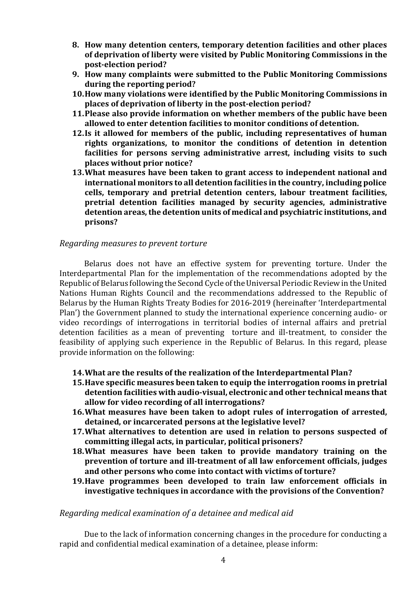- **8. How many detention centers, temporary detention facilities and other places of deprivation of liberty were visited by Public Monitoring Commissions in the post-election period?**
- **9. How many complaints were submitted to the Public Monitoring Commissions during the reporting period?**
- **10.How many violations were identified by the Public Monitoring Commissions in places of deprivation of liberty in the post-election period?**
- **11.Please also provide information on whether members of the public have been allowed to enter detention facilities to monitor conditions of detention.**
- **12.Is it allowed for members of the public, including representatives of human rights organizations, to monitor the conditions of detention in detention facilities for persons serving administrative arrest, including visits to such places without prior notice?**
- **13.What measures have been taken to grant access to independent national and international monitors to all detention facilities in the country, including police cells, temporary and pretrial detention centers, labour treatment facilities, pretrial detention facilities managed by security agencies, administrative detention areas, the detention units of medical and psychiatric institutions, and prisons?**

### <span id="page-3-0"></span>*Regarding measures to prevent torture*

Belarus does not have an effective system for preventing torture. Under the Interdepartmental Plan for the implementation of the recommendations adopted by the Republic of Belarus following the Second Cycle of the Universal Periodic Review in the United Nations Human Rights Council and the recommendations addressed to the Republic of Belarus by the Human Rights Treaty Bodies for 2016-2019 (hereinafter 'Interdepartmental Plan') the Government planned to study the international experience concerning audio- or video recordings of interrogations in territorial bodies of internal affairs and pretrial detention facilities as a mean of preventing torture and ill-treatment, to consider the feasibility of applying such experience in the Republic of Belarus. In this regard, please provide information on the following:

- **14.What are the results of the realization of the Interdepartmental Plan?**
- **15.Have specific measures been taken to equip the interrogation rooms in pretrial detention facilities with audio-visual, electronic and other technical means that allow for video recording of all interrogations?**
- **16.What measures have been taken to adopt rules of interrogation of arrested, detained, or incarcerated persons at the legislative level?**
- **17.What alternatives to detention are used in relation to persons suspected of committing illegal acts, in particular, political prisoners?**
- **18.What measures have been taken to provide mandatory training on the prevention of torture and ill-treatment of all law enforcement officials, judges and other persons who come into contact with victims of torture?**
- **19.Have programmes been developed to train law enforcement officials in investigative techniques in accordance with the provisions of the Convention?**

#### <span id="page-3-1"></span>*Regarding medical examination of a detainee and medical aid*

Due to the lack of information concerning changes in the procedure for conducting a rapid and confidential medical examination of a detainee, please inform: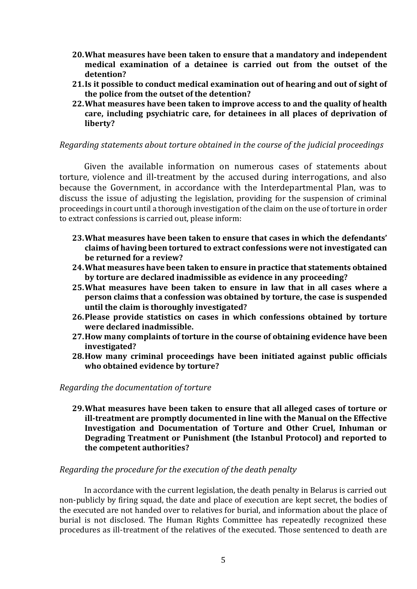- **20.What measures have been taken to ensure that a mandatory and independent medical examination of a detainee is carried out from the outset of the detention?**
- **21.Is it possible to conduct medical examination out of hearing and out of sight of the police from the outset of the detention?**
- **22.What measures have been taken to improve access to and the quality of health care, including psychiatric care, for detainees in all places of deprivation of liberty?**

# <span id="page-4-0"></span>*Regarding statements about torture obtained in the course of the judicial proceedings*

Given the available information on numerous cases of statements about torture, violence and ill-treatment by the accused during interrogations, and also because the Government, in accordance with the Interdepartmental Plan, was to discuss the issue of adjusting the legislation, providing for the suspension of criminal proceedings in court until a thorough investigation of the claim on the use of torture in order to extract confessions is carried out, please inform:

- **23.What measures have been taken to ensure that cases in which the defendants' claims of having been tortured to extract confessions were not investigated can be returned for a review?**
- **24.What measures have been taken to ensure in practice that statements obtained by torture are declared inadmissible as evidence in any proceeding?**
- **25.What measures have been taken to ensure in law that in all cases where a person claims that a confession was obtained by torture, the case is suspended until the claim is thoroughly investigated?**
- **26.Please provide statistics on cases in which confessions obtained by torture were declared inadmissible.**
- **27.How many complaints of torture in the course of obtaining evidence have been investigated?**
- **28.How many criminal proceedings have been initiated against public officials who obtained evidence by torture?**

#### <span id="page-4-1"></span>*Regarding the documentation of torture*

**29.What measures have been taken to ensure that all alleged cases of torture or ill-treatment are promptly documented in line with the Manual on the Effective Investigation and Documentation of Torture and Other Cruel, Inhuman or Degrading Treatment or Punishment (the Istanbul Protocol) and reported to the competent authorities?**

#### <span id="page-4-2"></span>*Regarding the procedure for the execution of the death penalty*

In accordance with the current legislation, the death penalty in Belarus is carried out non-publicly by firing squad, the date and place of execution are kept secret, the bodies of the executed are not handed over to relatives for burial, and information about the place of burial is not disclosed. The Human Rights Committee has repeatedly recognized these procedures as ill-treatment of the relatives of the executed. Those sentenced to death are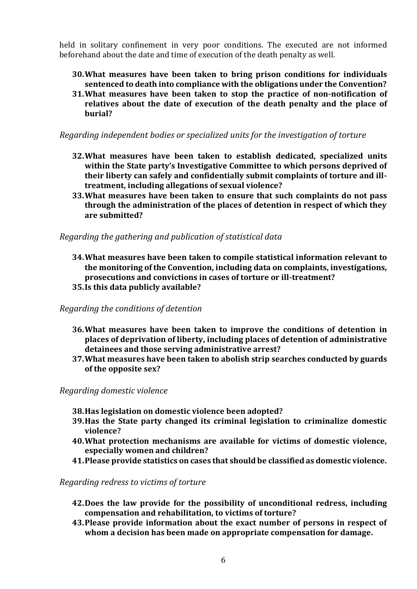held in solitary confinement in very poor conditions. The executed are not informed beforehand about the date and time of execution of the death penalty as well.

- **30.What measures have been taken to bring prison conditions for individuals sentenced to death into compliance with the obligations under the Convention?**
- **31.What measures have been taken to stop the practice of non-notification of relatives about the date of execution of the death penalty and the place of burial?**

<span id="page-5-0"></span>*Regarding independent bodies or specialized units for the investigation of torture*

- **32.What measures have been taken to establish dedicated, specialized units within the State party's Investigative Committee to which persons deprived of their liberty can safely and confidentially submit complaints of torture and illtreatment, including allegations of sexual violence?**
- **33.What measures have been taken to ensure that such complaints do not pass through the administration of the places of detention in respect of which they are submitted?**

<span id="page-5-1"></span>*Regarding the gathering and publication of statistical data*

- **34.What measures have been taken to compile statistical information relevant to the monitoring of the Convention, including data on complaints, investigations, prosecutions and convictions in cases of torture or ill-treatment? 35.Is this data publicly available?**
- <span id="page-5-2"></span>*Regarding the conditions of detention* 
	- **36.What measures have been taken to improve the conditions of detention in places of deprivation of liberty, including places of detention of administrative detainees and those serving administrative arrest?**
	- **37.What measures have been taken to abolish strip searches conducted by guards of the opposite sex?**

<span id="page-5-3"></span>*Regarding domestic violence* 

- **38.Has legislation on domestic violence been adopted?**
- **39.Has the State party changed its criminal legislation to criminalize domestic violence?**
- **40.What protection mechanisms are available for victims of domestic violence, especially women and children?**
- **41.Please provide statistics on cases that should be classified as domestic violence.**

# <span id="page-5-4"></span>*Regarding redress to victims of torture*

- **42.Does the law provide for the possibility of unconditional redress, including compensation and rehabilitation, to victims of torture?**
- **43.Please provide information about the exact number of persons in respect of whom a decision has been made on appropriate compensation for damage.**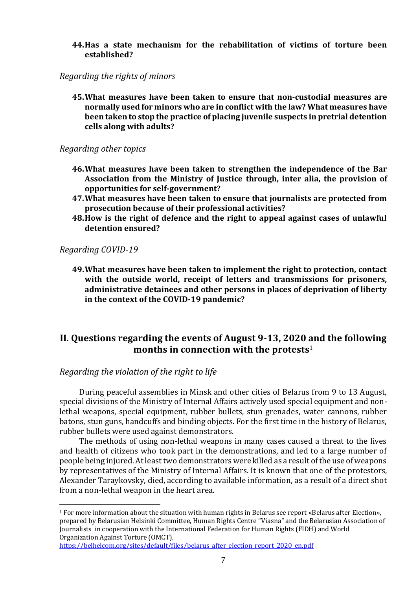**44.Has a state mechanism for the rehabilitation of victims of torture been established?**

<span id="page-6-0"></span>*Regarding the rights of minors*

**45.What measures have been taken to ensure that non-custodial measures are normally used for minors who are in conflict with the law? What measures have been taken to stop the practice of placing juvenile suspects in pretrial detention cells along with adults?**

#### <span id="page-6-1"></span>*Regarding other topics*

- **46.What measures have been taken to strengthen the independence of the Bar Association from the Ministry of Justice through, inter alia, the provision of opportunities for self-government?**
- **47.What measures have been taken to ensure that journalists are protected from prosecution because of their professional activities?**
- **48.How is the right of defence and the right to appeal against cases of unlawful detention ensured?**

<span id="page-6-2"></span>*Regarding COVID-19*

 $\overline{a}$ 

**49.What measures have been taken to implement the right to protection, contact with the outside world, receipt of letters and transmissions for prisoners, administrative detainees and other persons in places of deprivation of liberty in the context of the COVID-19 pandemic?**

# <span id="page-6-3"></span>**II. Questions regarding the events of August 9-13, 2020 and the following months in connection with the protests**<sup>1</sup>

<span id="page-6-4"></span>*Regarding the violation of the right to life*

During peaceful assemblies in Minsk and other cities of Belarus from 9 to 13 August, special divisions of the Ministry of Internal Affairs actively used special equipment and nonlethal weapons, special equipment, rubber bullets, stun grenades, water cannons, rubber batons, stun guns, handcuffs and binding objects. For the first time in the history of Belarus, rubber bullets were used against demonstrators.

The methods of using non-lethal weapons in many cases caused a threat to the lives and health of citizens who took part in the demonstrations, and led to a large number of people being injured. At least two demonstrators were killed as a result of the use of weapons by representatives of the Ministry of Internal Affairs. It is known that one of the protestors, Alexander Taraykovsky, died, according to available information, as a result of a direct shot from a non-lethal weapon in the heart area.

 $1$  For more information about the situation with human rights in Belarus see report «Belarus after Election», prepared by Belarusian Helsinki Committee, Human Rights Centre "Viasna" and the Belarusian Association of Journalists in cooperation with the International Federation for Human Rights (FIDH) and World Organization Against Torture (OMCT),

[https://belhelcom.org/sites/default/files/belarus\\_after\\_election\\_report\\_2020\\_en.pdf](https://belhelcom.org/sites/default/files/belarus_after_election_report_2020_en.pdf)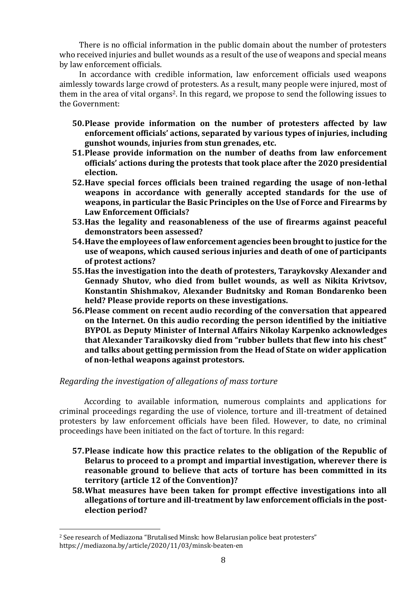There is no official information in the public domain about the number of protesters who received injuries and bullet wounds as a result of the use of weapons and special means by law enforcement officials.

In accordance with credible information, law enforcement officials used weapons aimlessly towards large crowd of protesters. As a result, many people were injured, most of them in the area of vital organs2. In this regard, we propose to send the following issues to the Government:

- **50.Please provide information on the number of protesters affected by law enforcement officials' actions, separated by various types of injuries, including gunshot wounds, injuries from stun grenades, etc.**
- **51.Please provide information on the number of deaths from law enforcement officials' actions during the protests that took place after the 2020 presidential election.**
- **52.Have special forces officials been trained regarding the usage of non-lethal weapons in accordance with generally accepted standards for the use of weapons, in particular the Basic Principles on the Use of Force and Firearms by Law Enforcement Officials?**
- **53.Has the legality and reasonableness of the use of firearms against peaceful demonstrators been assessed?**
- **54.Have the employees of law enforcement agencies been brought to justice for the use of weapons, which caused serious injuries and death of one of participants of protest actions?**
- **55.Has the investigation into the death of protesters, Taraykovsky Alexander and Gennady Shutov, who died from bullet wounds, as well as Nikita Krivtsov, Konstantin Shishmakov, Alexander Budnitsky and Roman Bondarenko been held? Please provide reports on these investigations.**
- **56.Please comment on recent audio recording of the сonversation that appeared on the Internet. On this audio recording the person identified by the initiative BYPOL as Deputy Minister of Internal Affairs Nikolay Karpenko acknowledges that Alexander Taraikovsky died from "rubber bullets that flew into his chest" and talks about getting permission from the Head of State on wider application of non-lethal weapons against protestors.**

# <span id="page-7-0"></span>*Regarding the investigation of allegations of mass torture*

According to available information, numerous complaints and applications for criminal proceedings regarding the use of violence, torture and ill-treatment of detained protesters by law enforcement officials have been filed. However, to date, no criminal proceedings have been initiated on the fact of torture. In this regard:

- **57.Please indicate how this practice relates to the obligation of the Republic of Belarus to proceed to a prompt and impartial investigation, wherever there is reasonable ground to believe that acts of torture has been committed in its territory (article 12 of the Convention)?**
- **58.What measures have been taken for prompt effective investigations into all allegations of torture and ill-treatment by law enforcement officials in the postelection period?**

 $\overline{a}$ 

<sup>2</sup> See research of Mediazona "Brutalised Minsk: how Belarusian police beat protesters" https://mediazona.by/article/2020/11/03/minsk-beaten-en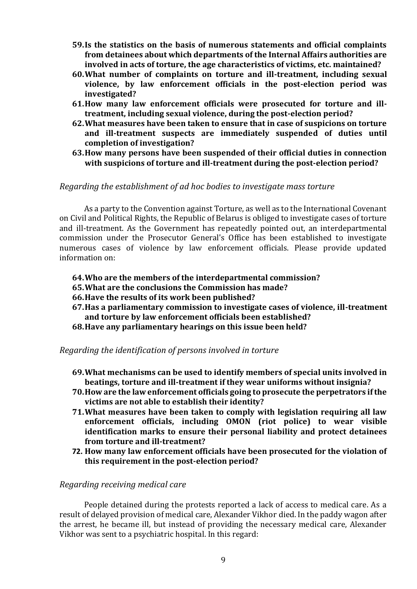- **59.Is the statistics on the basis of numerous statements and official complaints from detainees about which departments of the Internal Affairs authorities are involved in acts of torture, the age characteristics of victims, etc. maintained?**
- **60.What number of complaints on torture and ill-treatment, including sexual violence, by law enforcement officials in the post-election period was investigated?**
- **61.How many law enforcement officials were prosecuted for torture and illtreatment, including sexual violence, during the post-election period?**
- **62.What measures have been taken to ensure that in case of suspicions on torture and ill-treatment suspects are immediately suspended of duties until completion of investigation?**
- **63.How many persons have been suspended of their official duties in connection with suspicions of torture and ill-treatment during the post-election period?**

#### <span id="page-8-0"></span>*Regarding the establishment of ad hoc bodies to investigate mass torture*

As a party to the Convention against Torture, as well as to the International Covenant on Civil and Political Rights, the Republic of Belarus is obliged to investigate cases of torture and ill-treatment. As the Government has repeatedly pointed out, an interdepartmental commission under the Prosecutor General's Office has been established to investigate numerous cases of violence by law enforcement officials. Please provide updated information on:

- **64.Who are the members of the interdepartmental commission?**
- **65.What are the conclusions the Commission has made?**
- **66.Have the results of its work been published?**
- **67.Has a parliamentary commission to investigate cases of violence, ill-treatment and torture by law enforcement officials been established?**
- **68.Have any parliamentary hearings on this issue been held?**

<span id="page-8-1"></span>*Regarding the identification of persons involved in torture*

- **69.What mechanisms can be used to identify members of special units involved in beatings, torture and ill-treatment if they wear uniforms without insignia?**
- **70.How are the law enforcement officials going to prosecute the perpetrators if the victims are not able to establish their identity?**
- **71.What measures have been taken to comply with legislation requiring all law enforcement officials, including OMON (riot police) to wear visible identification marks to ensure their personal liability and protect detainees from torture and ill-treatment?**
- **72. How many law enforcement officials have been prosecuted for the violation of this requirement in the post-election period?**

#### <span id="page-8-2"></span>*Regarding receiving medical care*

People detained during the protests reported a lack of access to medical care. As a result of delayed provision of medical care, Alexander Vikhor died. In the paddy wagon after the arrest, he became ill, but instead of providing the necessary medical care, Alexander Vikhor was sent to a psychiatric hospital. In this regard: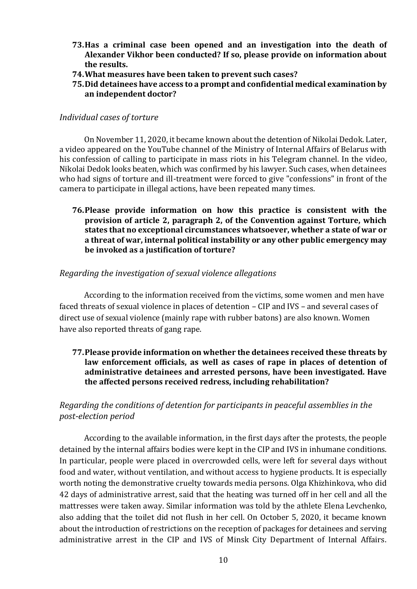- **73.Has a criminal case been opened and an investigation into the death of Alexander Vikhor been conducted? If so, please provide on information about the results.**
- **74.What measures have been taken to prevent such cases?**
- **75.Did detainees have access to a prompt and confidential medical examination by an independent doctor?**

### <span id="page-9-0"></span>*Individual cases of torture*

On November 11, 2020, it became known about the detention of Nikolai Dedok. Later, a video appeared on the YouTube channel of the Ministry of Internal Affairs of Belarus with his confession of calling to participate in mass riots in his Telegram channel. In the video, Nikolai Dedok looks beaten, which was confirmed by his lawyer. Such cases, when detainees who had signs of torture and ill-treatment were forced to give "confessions" in front of the camera to participate in illegal actions, have been repeated many times.

**76.Please provide information on how this practice is consistent with the provision of article 2, paragraph 2, of the Convention against Torture, which states that no exceptional circumstances whatsoever, whether a state of war or a threat of war, internal political instability or any other public emergency may be invoked as a justification of torture?**

# <span id="page-9-1"></span>*Regarding the investigation of sexual violence allegations*

According to the information received from the victims, some women and men have faced threats of sexual violence in places of detention – CIP and IVS – and several cases of direct use of sexual violence (mainly rape with rubber batons) are also known. Women have also reported threats of gang rape.

**77.Please provide information on whether the detainees received these threats by law enforcement officials, as well as cases of rape in places of detention of administrative detainees and arrested persons, have been investigated. Have the affected persons received redress, including rehabilitation?**

# <span id="page-9-2"></span>*Regarding the conditions of detention for participants in peaceful assemblies in the post-election period*

According to the available information, in the first days after the protests, the people detained by the internal affairs bodies were kept in the CIP and IVS in inhumane conditions. In particular, people were placed in overcrowded cells, were left for several days without food and water, without ventilation, and without access to hygiene products. It is especially worth noting the demonstrative cruelty towards media persons. Olga Khizhinkova, who did 42 days of administrative arrest, said that the heating was turned off in her cell and all the mattresses were taken away. Similar information was told by the athlete Elena Levchenko, also adding that the toilet did not flush in her cell. On October 5, 2020, it became known about the introduction of restrictions on the reception of packages for detainees and serving administrative arrest in the CIP and IVS of Minsk City Department of Internal Affairs.